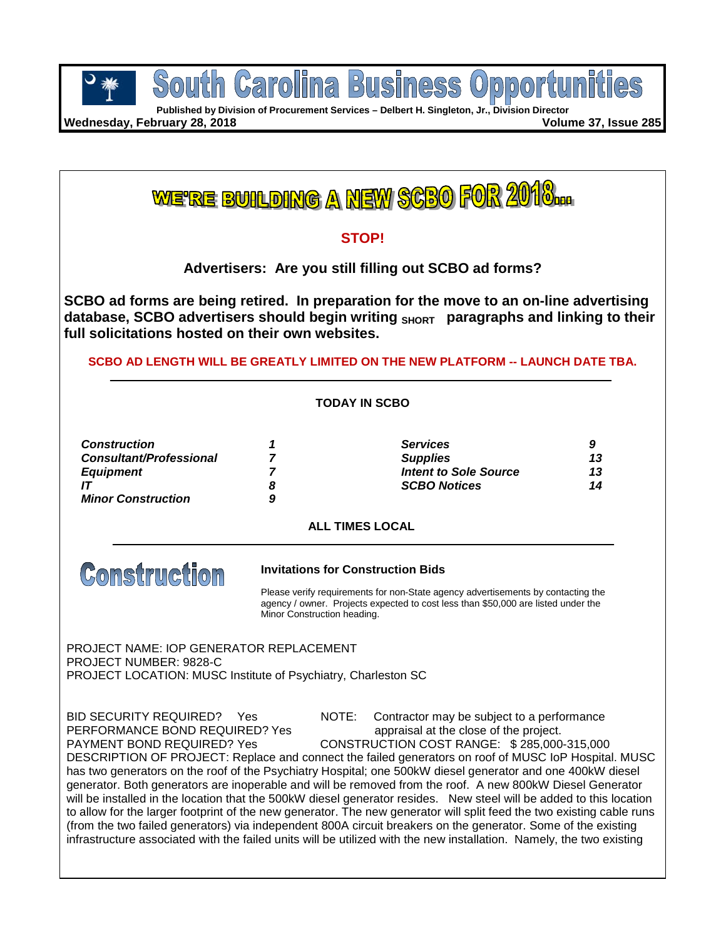

**Published by Division of Procurement Services – Delbert H. Singleton, Jr., Division Director**

**Wednesday, February 28, 2018 Volume 37, Issue 285**

<u>WE'RE BUILDING A NEW SCBO FOR 20</u>

## **STOP!**

**Advertisers: Are you still filling out SCBO ad forms?**

**SCBO ad forms are being retired. In preparation for the move to an on-line advertising**  database, SCBO advertisers should begin writing SHORT paragraphs and linking to their **full solicitations hosted on their own websites.** 

## **SCBO AD LENGTH WILL BE GREATLY LIMITED ON THE NEW PLATFORM -- LAUNCH DATE TBA.**

## **TODAY IN SCBO**

| <b>Construction</b>            | <b>Services</b>              | g  |
|--------------------------------|------------------------------|----|
| <b>Consultant/Professional</b> | <b>Supplies</b>              | 13 |
| <b>Equipment</b>               | <b>Intent to Sole Source</b> | 13 |
|                                | <b>SCBO Notices</b>          | 14 |
| <b>Minor Construction</b>      |                              |    |

## **ALL TIMES LOCAL**



## **Invitations for Construction Bids**

Please verify requirements for non-State agency advertisements by contacting the agency / owner. Projects expected to cost less than \$50,000 are listed under the Minor Construction heading.

PROJECT NAME: IOP GENERATOR REPLACEMENT PROJECT NUMBER: 9828-C PROJECT LOCATION: MUSC Institute of Psychiatry, Charleston SC

PERFORMANCE BOND REQUIRED? Yes appraisal at the close of the project.<br>PAYMENT BOND REQUIRED? Yes CONSTRUCTION COST RANGE: \$285,000

BID SECURITY REQUIRED? Yes NOTE: Contractor may be subject to a performance

CONSTRUCTION COST RANGE: \$ 285,000-315,000 DESCRIPTION OF PROJECT: Replace and connect the failed generators on roof of MUSC IoP Hospital. MUSC has two generators on the roof of the Psychiatry Hospital; one 500kW diesel generator and one 400kW diesel generator. Both generators are inoperable and will be removed from the roof. A new 800kW Diesel Generator will be installed in the location that the 500kW diesel generator resides. New steel will be added to this location to allow for the larger footprint of the new generator. The new generator will split feed the two existing cable runs (from the two failed generators) via independent 800A circuit breakers on the generator. Some of the existing infrastructure associated with the failed units will be utilized with the new installation. Namely, the two existing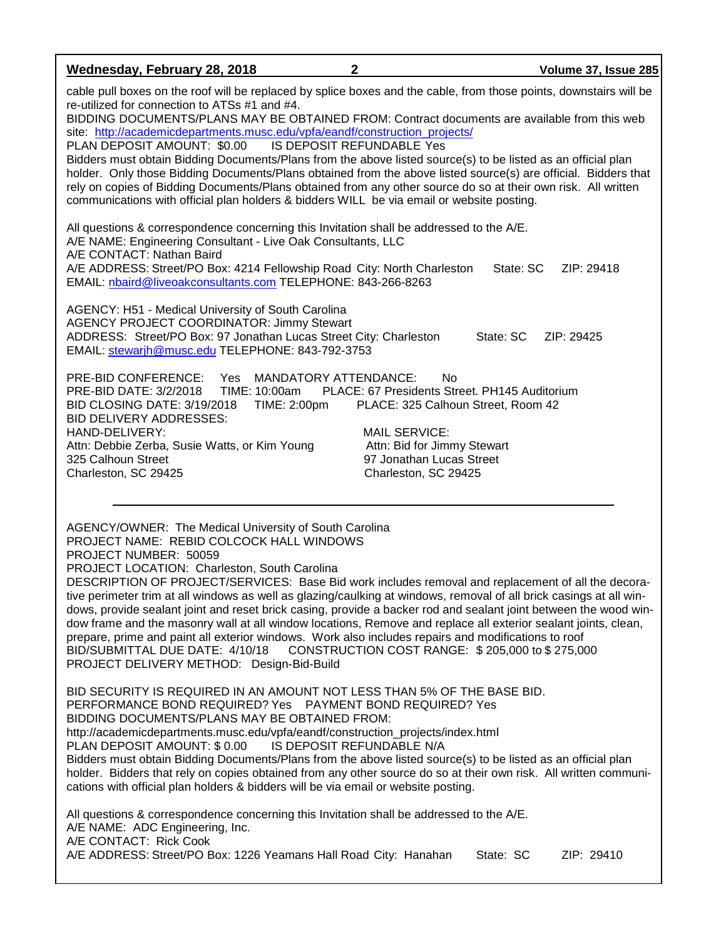| Wednesday, February 28, 2018                                                                                                                                                                                                                                                                                                                                                                                                                                                                                                                                                                                                                                                                                                                                                                                                          | $\mathbf{2}$                                                                                                                                                                                                                                | Volume 37, Issue 285    |  |  |
|---------------------------------------------------------------------------------------------------------------------------------------------------------------------------------------------------------------------------------------------------------------------------------------------------------------------------------------------------------------------------------------------------------------------------------------------------------------------------------------------------------------------------------------------------------------------------------------------------------------------------------------------------------------------------------------------------------------------------------------------------------------------------------------------------------------------------------------|---------------------------------------------------------------------------------------------------------------------------------------------------------------------------------------------------------------------------------------------|-------------------------|--|--|
| cable pull boxes on the roof will be replaced by splice boxes and the cable, from those points, downstairs will be<br>re-utilized for connection to ATSs #1 and #4.<br>BIDDING DOCUMENTS/PLANS MAY BE OBTAINED FROM: Contract documents are available from this web<br>site: http://academicdepartments.musc.edu/vpfa/eandf/construction_projects/<br>PLAN DEPOSIT AMOUNT: \$0.00<br>Bidders must obtain Bidding Documents/Plans from the above listed source(s) to be listed as an official plan<br>holder. Only those Bidding Documents/Plans obtained from the above listed source(s) are official. Bidders that<br>rely on copies of Bidding Documents/Plans obtained from any other source do so at their own risk. All written<br>communications with official plan holders & bidders WILL be via email or website posting.     | IS DEPOSIT REFUNDABLE Yes                                                                                                                                                                                                                   |                         |  |  |
| All questions & correspondence concerning this Invitation shall be addressed to the A/E.<br>A/E NAME: Engineering Consultant - Live Oak Consultants, LLC<br>A/E CONTACT: Nathan Baird<br>A/E ADDRESS: Street/PO Box: 4214 Fellowship Road City: North Charleston<br>EMAIL: nbaird@liveoakconsultants.com TELEPHONE: 843-266-8263                                                                                                                                                                                                                                                                                                                                                                                                                                                                                                      |                                                                                                                                                                                                                                             | State: SC<br>ZIP: 29418 |  |  |
| AGENCY: H51 - Medical University of South Carolina<br>AGENCY PROJECT COORDINATOR: Jimmy Stewart<br>ADDRESS: Street/PO Box: 97 Jonathan Lucas Street City: Charleston<br>EMAIL: stewarjh@musc.edu TELEPHONE: 843-792-3753                                                                                                                                                                                                                                                                                                                                                                                                                                                                                                                                                                                                              |                                                                                                                                                                                                                                             | State: SC<br>ZIP: 29425 |  |  |
| PRE-BID CONFERENCE: Yes<br>PRE-BID DATE: 3/2/2018<br>TIME: 10:00am<br>BID CLOSING DATE: 3/19/2018<br>TIME: 2:00pm<br><b>BID DELIVERY ADDRESSES:</b><br>HAND-DELIVERY:<br>Attn: Debbie Zerba, Susie Watts, or Kim Young<br>325 Calhoun Street<br>Charleston, SC 29425                                                                                                                                                                                                                                                                                                                                                                                                                                                                                                                                                                  | <b>MANDATORY ATTENDANCE:</b><br><b>No</b><br>PLACE: 67 Presidents Street. PH145 Auditorium<br>PLACE: 325 Calhoun Street, Room 42<br><b>MAIL SERVICE:</b><br>Attn: Bid for Jimmy Stewart<br>97 Jonathan Lucas Street<br>Charleston, SC 29425 |                         |  |  |
| AGENCY/OWNER: The Medical University of South Carolina<br>PROJECT NAME: REBID COLCOCK HALL WINDOWS<br>PROJECT NUMBER: 50059<br>PROJECT LOCATION: Charleston, South Carolina<br>DESCRIPTION OF PROJECT/SERVICES: Base Bid work includes removal and replacement of all the decora-<br>tive perimeter trim at all windows as well as glazing/caulking at windows, removal of all brick casings at all win-<br>dows, provide sealant joint and reset brick casing, provide a backer rod and sealant joint between the wood win-<br>dow frame and the masonry wall at all window locations, Remove and replace all exterior sealant joints, clean,<br>prepare, prime and paint all exterior windows. Work also includes repairs and modifications to roof<br>BID/SUBMITTAL DUE DATE: 4/10/18<br>PROJECT DELIVERY METHOD: Design-Bid-Build | CONSTRUCTION COST RANGE: \$205,000 to \$275,000                                                                                                                                                                                             |                         |  |  |
| BID SECURITY IS REQUIRED IN AN AMOUNT NOT LESS THAN 5% OF THE BASE BID.<br>BIDDING DOCUMENTS/PLANS MAY BE OBTAINED FROM:<br>http://academicdepartments.musc.edu/vpfa/eandf/construction_projects/index.html<br>PLAN DEPOSIT AMOUNT: \$ 0.00<br>IS DEPOSIT REFUNDABLE N/A<br>Bidders must obtain Bidding Documents/Plans from the above listed source(s) to be listed as an official plan<br>holder. Bidders that rely on copies obtained from any other source do so at their own risk. All written communi-<br>cations with official plan holders & bidders will be via email or website posting.                                                                                                                                                                                                                                    |                                                                                                                                                                                                                                             |                         |  |  |
| All questions & correspondence concerning this Invitation shall be addressed to the A/E.<br>A/E NAME: ADC Engineering, Inc.<br>A/E CONTACT: Rick Cook<br>A/E ADDRESS: Street/PO Box: 1226 Yeamans Hall Road City: Hanahan                                                                                                                                                                                                                                                                                                                                                                                                                                                                                                                                                                                                             |                                                                                                                                                                                                                                             | State: SC<br>ZIP: 29410 |  |  |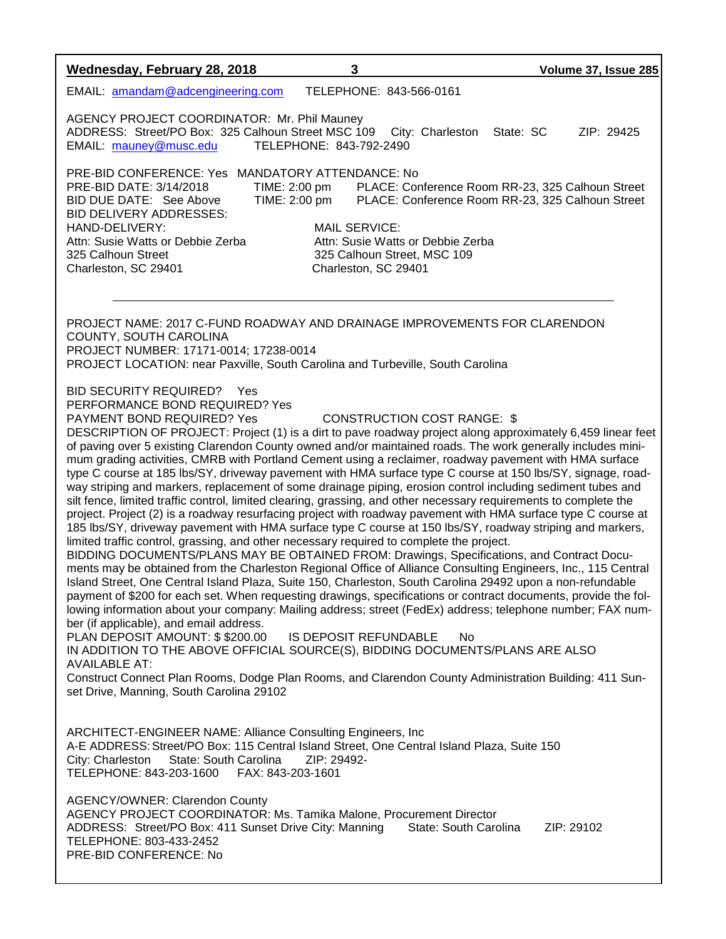| Wednesday, February 28, 2018                                                                                                                                                                                                                                                                                                                                                                                                                                                                                                                                                                                                                                                                                                                                                                                                                                                                                                                                                                                                                                                                                                                                                                                                                                                                                                                                                                                                                                                                                                                                                                                                                                                                                                                                                                                                                                                                                                                                                                                                                                                                                  | 3                                                                                                                                                  | Volume 37, Issue 285                                                                                 |  |  |
|---------------------------------------------------------------------------------------------------------------------------------------------------------------------------------------------------------------------------------------------------------------------------------------------------------------------------------------------------------------------------------------------------------------------------------------------------------------------------------------------------------------------------------------------------------------------------------------------------------------------------------------------------------------------------------------------------------------------------------------------------------------------------------------------------------------------------------------------------------------------------------------------------------------------------------------------------------------------------------------------------------------------------------------------------------------------------------------------------------------------------------------------------------------------------------------------------------------------------------------------------------------------------------------------------------------------------------------------------------------------------------------------------------------------------------------------------------------------------------------------------------------------------------------------------------------------------------------------------------------------------------------------------------------------------------------------------------------------------------------------------------------------------------------------------------------------------------------------------------------------------------------------------------------------------------------------------------------------------------------------------------------------------------------------------------------------------------------------------------------|----------------------------------------------------------------------------------------------------------------------------------------------------|------------------------------------------------------------------------------------------------------|--|--|
| EMAIL: amandam@adcengineering.com                                                                                                                                                                                                                                                                                                                                                                                                                                                                                                                                                                                                                                                                                                                                                                                                                                                                                                                                                                                                                                                                                                                                                                                                                                                                                                                                                                                                                                                                                                                                                                                                                                                                                                                                                                                                                                                                                                                                                                                                                                                                             | TELEPHONE: 843-566-0161                                                                                                                            |                                                                                                      |  |  |
| AGENCY PROJECT COORDINATOR: Mr. Phil Mauney<br>ADDRESS: Street/PO Box: 325 Calhoun Street MSC 109<br>EMAIL: mauney@musc.edu                                                                                                                                                                                                                                                                                                                                                                                                                                                                                                                                                                                                                                                                                                                                                                                                                                                                                                                                                                                                                                                                                                                                                                                                                                                                                                                                                                                                                                                                                                                                                                                                                                                                                                                                                                                                                                                                                                                                                                                   | City: Charleston<br>TELEPHONE: 843-792-2490                                                                                                        | State: SC<br>ZIP: 29425                                                                              |  |  |
| PRE-BID CONFERENCE: Yes MANDATORY ATTENDANCE: No<br>PRE-BID DATE: 3/14/2018<br>BID DUE DATE: See Above<br><b>BID DELIVERY ADDRESSES:</b><br>HAND-DELIVERY:<br>Attn: Susie Watts or Debbie Zerba<br>325 Calhoun Street<br>Charleston, SC 29401                                                                                                                                                                                                                                                                                                                                                                                                                                                                                                                                                                                                                                                                                                                                                                                                                                                                                                                                                                                                                                                                                                                                                                                                                                                                                                                                                                                                                                                                                                                                                                                                                                                                                                                                                                                                                                                                 | TIME: 2:00 pm<br>TIME: 2:00 pm<br><b>MAIL SERVICE:</b><br>Attn: Susie Watts or Debbie Zerba<br>325 Calhoun Street, MSC 109<br>Charleston, SC 29401 | PLACE: Conference Room RR-23, 325 Calhoun Street<br>PLACE: Conference Room RR-23, 325 Calhoun Street |  |  |
| PROJECT NAME: 2017 C-FUND ROADWAY AND DRAINAGE IMPROVEMENTS FOR CLARENDON<br>COUNTY, SOUTH CAROLINA<br>PROJECT NUMBER: 17171-0014; 17238-0014<br>PROJECT LOCATION: near Paxville, South Carolina and Turbeville, South Carolina                                                                                                                                                                                                                                                                                                                                                                                                                                                                                                                                                                                                                                                                                                                                                                                                                                                                                                                                                                                                                                                                                                                                                                                                                                                                                                                                                                                                                                                                                                                                                                                                                                                                                                                                                                                                                                                                               |                                                                                                                                                    |                                                                                                      |  |  |
| <b>BID SECURITY REQUIRED?</b> Yes<br>PERFORMANCE BOND REQUIRED? Yes<br>PAYMENT BOND REQUIRED? Yes<br><b>CONSTRUCTION COST RANGE: \$</b><br>DESCRIPTION OF PROJECT: Project (1) is a dirt to pave roadway project along approximately 6,459 linear feet<br>of paving over 5 existing Clarendon County owned and/or maintained roads. The work generally includes mini-<br>mum grading activities, CMRB with Portland Cement using a reclaimer, roadway pavement with HMA surface<br>type C course at 185 lbs/SY, driveway pavement with HMA surface type C course at 150 lbs/SY, signage, road-<br>way striping and markers, replacement of some drainage piping, erosion control including sediment tubes and<br>silt fence, limited traffic control, limited clearing, grassing, and other necessary requirements to complete the<br>project. Project (2) is a roadway resurfacing project with roadway pavement with HMA surface type C course at<br>185 lbs/SY, driveway pavement with HMA surface type C course at 150 lbs/SY, roadway striping and markers,<br>limited traffic control, grassing, and other necessary required to complete the project.<br>BIDDING DOCUMENTS/PLANS MAY BE OBTAINED FROM: Drawings, Specifications, and Contract Docu-<br>ments may be obtained from the Charleston Regional Office of Alliance Consulting Engineers, Inc., 115 Central<br>Island Street, One Central Island Plaza, Suite 150, Charleston, South Carolina 29492 upon a non-refundable<br>payment of \$200 for each set. When requesting drawings, specifications or contract documents, provide the fol-<br>lowing information about your company: Mailing address; street (FedEx) address; telephone number; FAX num-<br>ber (if applicable), and email address.<br>PLAN DEPOSIT AMOUNT: \$\$200.00<br>IS DEPOSIT REFUNDABLE<br><b>No</b><br>IN ADDITION TO THE ABOVE OFFICIAL SOURCE(S), BIDDING DOCUMENTS/PLANS ARE ALSO<br><b>AVAILABLE AT:</b><br>Construct Connect Plan Rooms, Dodge Plan Rooms, and Clarendon County Administration Building: 411 Sun-<br>set Drive, Manning, South Carolina 29102 |                                                                                                                                                    |                                                                                                      |  |  |
| ARCHITECT-ENGINEER NAME: Alliance Consulting Engineers, Inc<br>A-E ADDRESS: Street/PO Box: 115 Central Island Street, One Central Island Plaza, Suite 150<br>State: South Carolina<br>City: Charleston<br>TELEPHONE: 843-203-1600<br>FAX: 843-203-1601                                                                                                                                                                                                                                                                                                                                                                                                                                                                                                                                                                                                                                                                                                                                                                                                                                                                                                                                                                                                                                                                                                                                                                                                                                                                                                                                                                                                                                                                                                                                                                                                                                                                                                                                                                                                                                                        | ZIP: 29492-                                                                                                                                        |                                                                                                      |  |  |
| AGENCY/OWNER: Clarendon County<br>AGENCY PROJECT COORDINATOR: Ms. Tamika Malone, Procurement Director<br>ADDRESS: Street/PO Box: 411 Sunset Drive City: Manning<br>TELEPHONE: 803-433-2452<br>PRE-BID CONFERENCE: No                                                                                                                                                                                                                                                                                                                                                                                                                                                                                                                                                                                                                                                                                                                                                                                                                                                                                                                                                                                                                                                                                                                                                                                                                                                                                                                                                                                                                                                                                                                                                                                                                                                                                                                                                                                                                                                                                          | State: South Carolina                                                                                                                              | ZIP: 29102                                                                                           |  |  |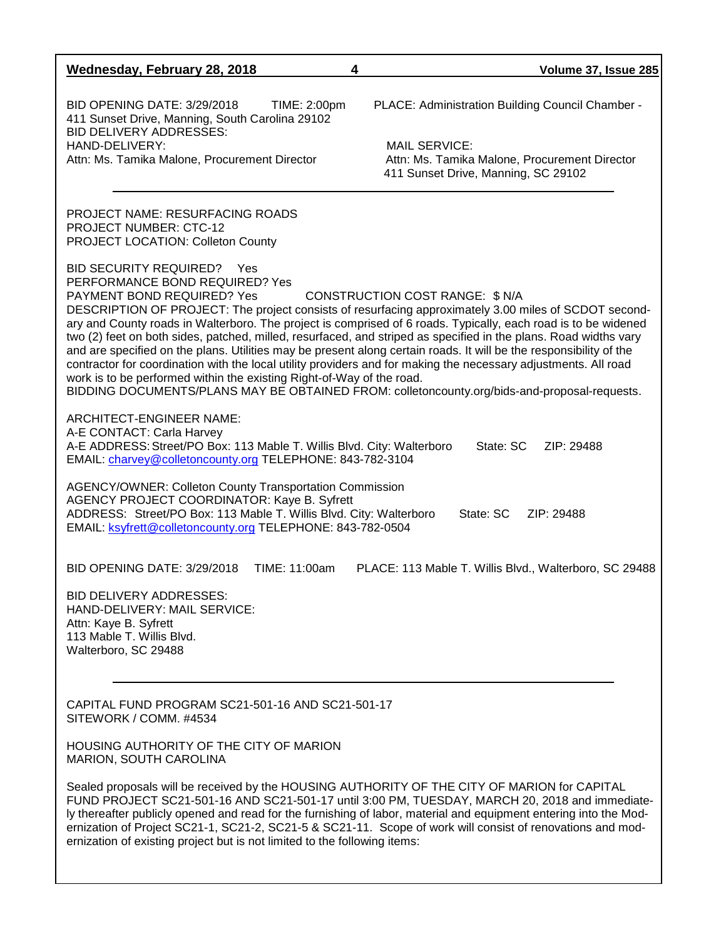| Wednesday, February 28, 2018                                                                                                                                                                                                                                                                                                                                                                                                                                                                                                                                                                                                                                                                                                                                                                                                                                                                             | 4<br>Volume 37, Issue 285                                                                                                                                                                                                                                                                                                                                                                                                         |  |  |  |  |
|----------------------------------------------------------------------------------------------------------------------------------------------------------------------------------------------------------------------------------------------------------------------------------------------------------------------------------------------------------------------------------------------------------------------------------------------------------------------------------------------------------------------------------------------------------------------------------------------------------------------------------------------------------------------------------------------------------------------------------------------------------------------------------------------------------------------------------------------------------------------------------------------------------|-----------------------------------------------------------------------------------------------------------------------------------------------------------------------------------------------------------------------------------------------------------------------------------------------------------------------------------------------------------------------------------------------------------------------------------|--|--|--|--|
| <b>BID OPENING DATE: 3/29/2018</b><br>TIME: 2:00pm<br>411 Sunset Drive, Manning, South Carolina 29102<br><b>BID DELIVERY ADDRESSES:</b><br>HAND-DELIVERY:<br>Attn: Ms. Tamika Malone, Procurement Director                                                                                                                                                                                                                                                                                                                                                                                                                                                                                                                                                                                                                                                                                               | PLACE: Administration Building Council Chamber -<br><b>MAIL SERVICE:</b><br>Attn: Ms. Tamika Malone, Procurement Director<br>411 Sunset Drive, Manning, SC 29102                                                                                                                                                                                                                                                                  |  |  |  |  |
| <b>PROJECT NAME: RESURFACING ROADS</b><br><b>PROJECT NUMBER: CTC-12</b><br><b>PROJECT LOCATION: Colleton County</b>                                                                                                                                                                                                                                                                                                                                                                                                                                                                                                                                                                                                                                                                                                                                                                                      |                                                                                                                                                                                                                                                                                                                                                                                                                                   |  |  |  |  |
| BID SECURITY REQUIRED?<br><b>Yes</b><br>PERFORMANCE BOND REQUIRED? Yes<br>PAYMENT BOND REQUIRED? Yes<br>CONSTRUCTION COST RANGE: \$ N/A<br>DESCRIPTION OF PROJECT: The project consists of resurfacing approximately 3.00 miles of SCDOT second-<br>ary and County roads in Walterboro. The project is comprised of 6 roads. Typically, each road is to be widened<br>two (2) feet on both sides, patched, milled, resurfaced, and striped as specified in the plans. Road widths vary<br>and are specified on the plans. Utilities may be present along certain roads. It will be the responsibility of the<br>contractor for coordination with the local utility providers and for making the necessary adjustments. All road<br>work is to be performed within the existing Right-of-Way of the road.<br>BIDDING DOCUMENTS/PLANS MAY BE OBTAINED FROM: colletoncounty.org/bids-and-proposal-requests. |                                                                                                                                                                                                                                                                                                                                                                                                                                   |  |  |  |  |
| ARCHITECT-ENGINEER NAME:<br>A-E CONTACT: Carla Harvey<br>A-E ADDRESS: Street/PO Box: 113 Mable T. Willis Blvd. City: Walterboro<br>EMAIL: charvey@colletoncounty.org TELEPHONE: 843-782-3104                                                                                                                                                                                                                                                                                                                                                                                                                                                                                                                                                                                                                                                                                                             | State: SC<br>ZIP: 29488                                                                                                                                                                                                                                                                                                                                                                                                           |  |  |  |  |
| <b>AGENCY/OWNER: Colleton County Transportation Commission</b><br>AGENCY PROJECT COORDINATOR: Kaye B. Syfrett<br>ADDRESS: Street/PO Box: 113 Mable T. Willis Blvd. City: Walterboro<br>State: SC<br>ZIP: 29488<br>EMAIL: ksyfrett@colletoncounty.org TELEPHONE: 843-782-0504                                                                                                                                                                                                                                                                                                                                                                                                                                                                                                                                                                                                                             |                                                                                                                                                                                                                                                                                                                                                                                                                                   |  |  |  |  |
| <b>BID OPENING DATE: 3/29/2018</b><br>TIME: 11:00am                                                                                                                                                                                                                                                                                                                                                                                                                                                                                                                                                                                                                                                                                                                                                                                                                                                      | PLACE: 113 Mable T. Willis Blvd., Walterboro, SC 29488                                                                                                                                                                                                                                                                                                                                                                            |  |  |  |  |
| <b>BID DELIVERY ADDRESSES:</b><br>HAND-DELIVERY: MAIL SERVICE:<br>Attn: Kaye B. Syfrett<br>113 Mable T. Willis Blvd.<br>Walterboro, SC 29488                                                                                                                                                                                                                                                                                                                                                                                                                                                                                                                                                                                                                                                                                                                                                             |                                                                                                                                                                                                                                                                                                                                                                                                                                   |  |  |  |  |
| CAPITAL FUND PROGRAM SC21-501-16 AND SC21-501-17                                                                                                                                                                                                                                                                                                                                                                                                                                                                                                                                                                                                                                                                                                                                                                                                                                                         |                                                                                                                                                                                                                                                                                                                                                                                                                                   |  |  |  |  |
| SITEWORK / COMM. #4534                                                                                                                                                                                                                                                                                                                                                                                                                                                                                                                                                                                                                                                                                                                                                                                                                                                                                   |                                                                                                                                                                                                                                                                                                                                                                                                                                   |  |  |  |  |
| HOUSING AUTHORITY OF THE CITY OF MARION<br>MARION, SOUTH CAROLINA                                                                                                                                                                                                                                                                                                                                                                                                                                                                                                                                                                                                                                                                                                                                                                                                                                        |                                                                                                                                                                                                                                                                                                                                                                                                                                   |  |  |  |  |
| ernization of existing project but is not limited to the following items:                                                                                                                                                                                                                                                                                                                                                                                                                                                                                                                                                                                                                                                                                                                                                                                                                                | Sealed proposals will be received by the HOUSING AUTHORITY OF THE CITY OF MARION for CAPITAL<br>FUND PROJECT SC21-501-16 AND SC21-501-17 until 3:00 PM, TUESDAY, MARCH 20, 2018 and immediate-<br>ly thereafter publicly opened and read for the furnishing of labor, material and equipment entering into the Mod-<br>ernization of Project SC21-1, SC21-2, SC21-5 & SC21-11. Scope of work will consist of renovations and mod- |  |  |  |  |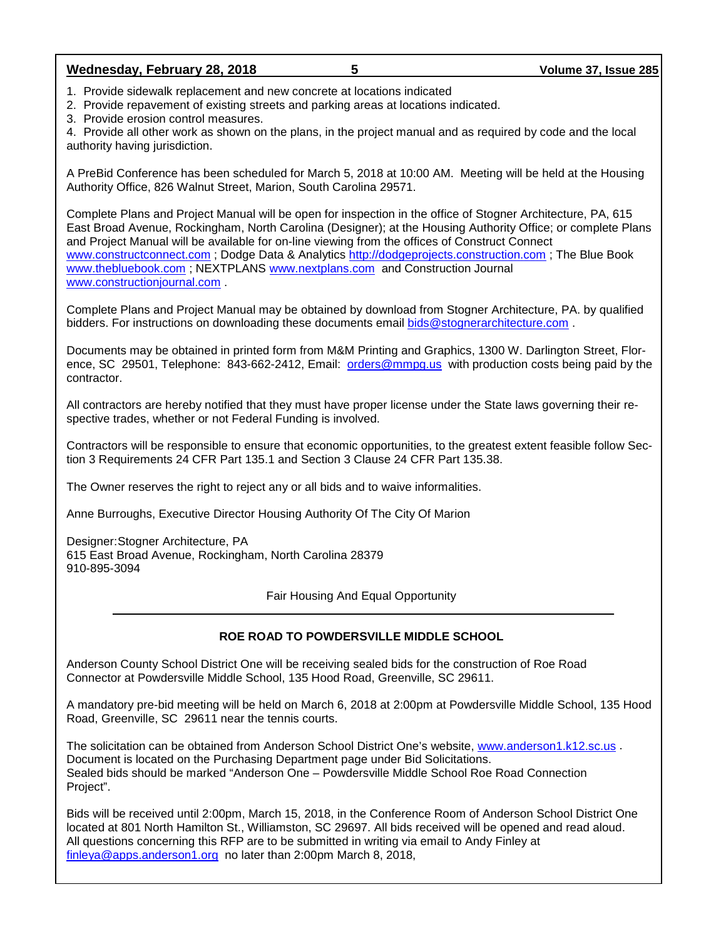1. Provide sidewalk replacement and new concrete at locations indicated

2. Provide repavement of existing streets and parking areas at locations indicated.

3. Provide erosion control measures.

4. Provide all other work as shown on the plans, in the project manual and as required by code and the local authority having jurisdiction.

A PreBid Conference has been scheduled for March 5, 2018 at 10:00 AM. Meeting will be held at the Housing Authority Office, 826 Walnut Street, Marion, South Carolina 29571.

Complete Plans and Project Manual will be open for inspection in the office of Stogner Architecture, PA, 615 East Broad Avenue, Rockingham, North Carolina (Designer); at the Housing Authority Office; or complete Plans and Project Manual will be available for on-line viewing from the offices of Construct Connect [www.constructconnect.com](http://www.constructconnect.com/) ; Dodge Data & Analytics [http://dodgeprojects.construction.com](http://dodgeprojects.construction.com/) ; The Blue Book [www.thebluebook.com](http://www.thebluebook.com/) ; NEXTPLANS [www.nextplans.com](http://www.nextplans.com/) and Construction Journal [www.constructionjournal.com](http://www.constructionjournal.com/) .

Complete Plans and Project Manual may be obtained by download from Stogner Architecture, PA. by qualified bidders. For instructions on downloading these documents email [bids@stognerarchitecture.com](mailto:bids@stognerarchitecture.com) .

Documents may be obtained in printed form from M&M Printing and Graphics, 1300 W. Darlington Street, Florence, SC 29501, Telephone: 843-662-2412, Email: [orders@mmpg.us](mailto:orders@mmpg.us) with production costs being paid by the contractor.

All contractors are hereby notified that they must have proper license under the State laws governing their respective trades, whether or not Federal Funding is involved.

Contractors will be responsible to ensure that economic opportunities, to the greatest extent feasible follow Section 3 Requirements 24 CFR Part 135.1 and Section 3 Clause 24 CFR Part 135.38.

The Owner reserves the right to reject any or all bids and to waive informalities.

Anne Burroughs, Executive Director Housing Authority Of The City Of Marion

Designer:Stogner Architecture, PA 615 East Broad Avenue, Rockingham, North Carolina 28379 910-895-3094

Fair Housing And Equal Opportunity

## **ROE ROAD TO POWDERSVILLE MIDDLE SCHOOL**

Anderson County School District One will be receiving sealed bids for the construction of Roe Road Connector at Powdersville Middle School, 135 Hood Road, Greenville, SC 29611.

A mandatory pre-bid meeting will be held on March 6, 2018 at 2:00pm at Powdersville Middle School, 135 Hood Road, Greenville, SC 29611 near the tennis courts.

The solicitation can be obtained from Anderson School District One's website, [www.anderson1.k12.sc.us](http://www.anderson1.k12.sc.us/) . Document is located on the Purchasing Department page under Bid Solicitations. Sealed bids should be marked "Anderson One – Powdersville Middle School Roe Road Connection Project".

Bids will be received until 2:00pm, March 15, 2018, in the Conference Room of Anderson School District One located at 801 North Hamilton St., Williamston, SC 29697. All bids received will be opened and read aloud. All questions concerning this RFP are to be submitted in writing via email to Andy Finley at [finleya@apps.anderson1.org](mailto:finleya@apps.anderson1.org) no later than 2:00pm March 8, 2018,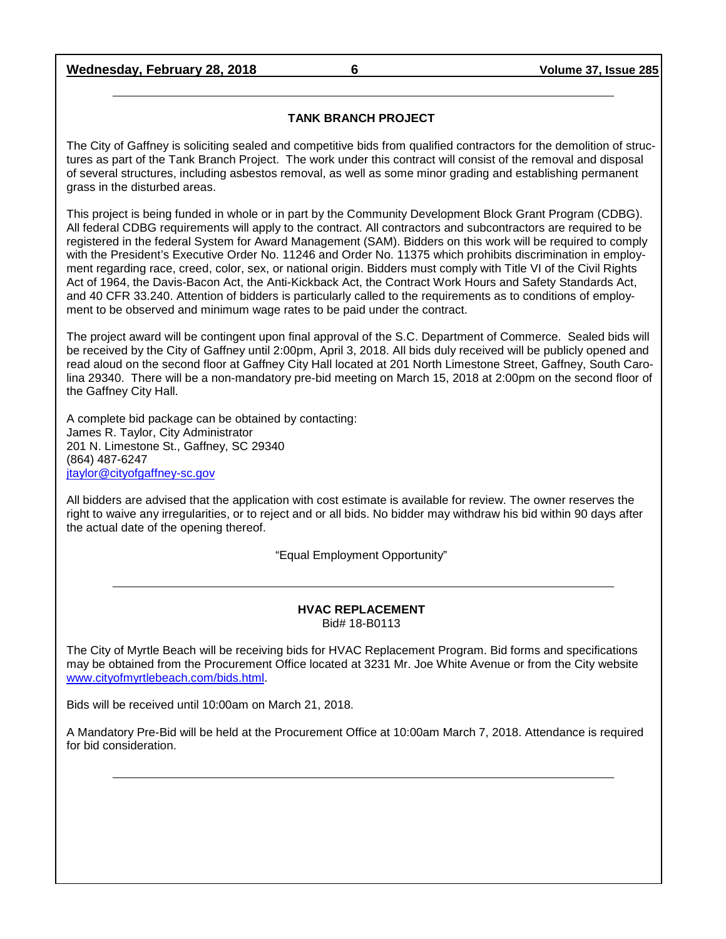## **Wednesday, February 28, 2018 6 Volume 37, Issue 285**

#### **TANK BRANCH PROJECT**

The City of Gaffney is soliciting sealed and competitive bids from qualified contractors for the demolition of structures as part of the Tank Branch Project. The work under this contract will consist of the removal and disposal of several structures, including asbestos removal, as well as some minor grading and establishing permanent grass in the disturbed areas.

This project is being funded in whole or in part by the Community Development Block Grant Program (CDBG). All federal CDBG requirements will apply to the contract. All contractors and subcontractors are required to be registered in the federal System for Award Management (SAM). Bidders on this work will be required to comply with the President's Executive Order No. 11246 and Order No. 11375 which prohibits discrimination in employment regarding race, creed, color, sex, or national origin. Bidders must comply with Title VI of the Civil Rights Act of 1964, the Davis-Bacon Act, the Anti-Kickback Act, the Contract Work Hours and Safety Standards Act, and 40 CFR 33.240. Attention of bidders is particularly called to the requirements as to conditions of employment to be observed and minimum wage rates to be paid under the contract.

The project award will be contingent upon final approval of the S.C. Department of Commerce. Sealed bids will be received by the City of Gaffney until 2:00pm, April 3, 2018. All bids duly received will be publicly opened and read aloud on the second floor at Gaffney City Hall located at 201 North Limestone Street, Gaffney, South Carolina 29340. There will be a non-mandatory pre-bid meeting on March 15, 2018 at 2:00pm on the second floor of the Gaffney City Hall.

A complete bid package can be obtained by contacting: James R. Taylor, City Administrator 201 N. Limestone St., Gaffney, SC 29340 (864) 487-6247 [jtaylor@cityofgaffney-sc.gov](mailto:jtaylor@cityofgaffney-sc.gov)

All bidders are advised that the application with cost estimate is available for review. The owner reserves the right to waive any irregularities, or to reject and or all bids. No bidder may withdraw his bid within 90 days after the actual date of the opening thereof.

"Equal Employment Opportunity"

#### **HVAC REPLACEMENT** Bid# 18-B0113

The City of Myrtle Beach will be receiving bids for HVAC Replacement Program. Bid forms and specifications may be obtained from the Procurement Office located at 3231 Mr. Joe White Avenue or from the City website [www.cityofmyrtlebeach.com/bids.html.](http://www.cityofmyrtlebeach.com/bids.html)

Bids will be received until 10:00am on March 21, 2018.

A Mandatory Pre-Bid will be held at the Procurement Office at 10:00am March 7, 2018. Attendance is required for bid consideration.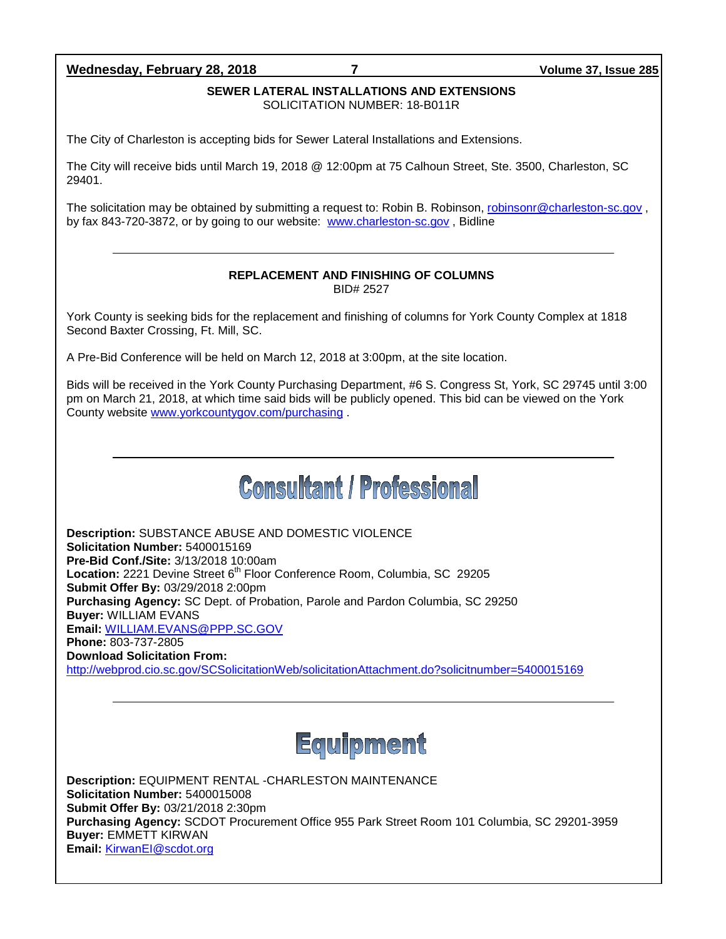## **Wednesday, February 28, 2018 7 Volume 37, Issue 285**

## **SEWER LATERAL INSTALLATIONS AND EXTENSIONS**

SOLICITATION NUMBER: 18-B011R

The City of Charleston is accepting bids for Sewer Lateral Installations and Extensions.

The City will receive bids until March 19, 2018 @ 12:00pm at 75 Calhoun Street, Ste. 3500, Charleston, SC 29401.

The solicitation may be obtained by submitting a request to: Robin B. Robinson, [robinsonr@charleston-sc.gov](mailto:robinsonr@charleston-sc.gov), by fax 843-720-3872, or by going to our website: [www.charleston-sc.gov](http://www.charleston-sc.gov/) , Bidline

#### **REPLACEMENT AND FINISHING OF COLUMNS** BID# 2527

York County is seeking bids for the replacement and finishing of columns for York County Complex at 1818 Second Baxter Crossing, Ft. Mill, SC.

A Pre-Bid Conference will be held on March 12, 2018 at 3:00pm, at the site location.

Bids will be received in the York County Purchasing Department, #6 S. Congress St, York, SC 29745 until 3:00 pm on March 21, 2018, at which time said bids will be publicly opened. This bid can be viewed on the York County website [www.yorkcountygov.com/purchasing](http://www.yorkcountygov.com/purchasing) .

# **Consultant / Professional**

**Description:** SUBSTANCE ABUSE AND DOMESTIC VIOLENCE **Solicitation Number:** 5400015169 **Pre-Bid Conf./Site:** 3/13/2018 10:00am Location: 2221 Devine Street 6<sup>th</sup> Floor Conference Room, Columbia, SC 29205 **Submit Offer By:** 03/29/2018 2:00pm **Purchasing Agency:** SC Dept. of Probation, Parole and Pardon Columbia, SC 29250 **Buyer:** WILLIAM EVANS **Email:** [WILLIAM.EVANS@PPP.SC.GOV](mailto:WILLIAM.EVANS@PPP.SC.GOV) **Phone:** 803-737-2805 **Download Solicitation From:**  <http://webprod.cio.sc.gov/SCSolicitationWeb/solicitationAttachment.do?solicitnumber=5400015169>



**Description:** EQUIPMENT RENTAL -CHARLESTON MAINTENANCE **Solicitation Number:** 5400015008 **Submit Offer By:** 03/21/2018 2:30pm **Purchasing Agency:** SCDOT Procurement Office 955 Park Street Room 101 Columbia, SC 29201-3959 **Buyer:** EMMETT KIRWAN **Email:** [KirwanEI@scdot.org](mailto:KirwanEI@scdot.org)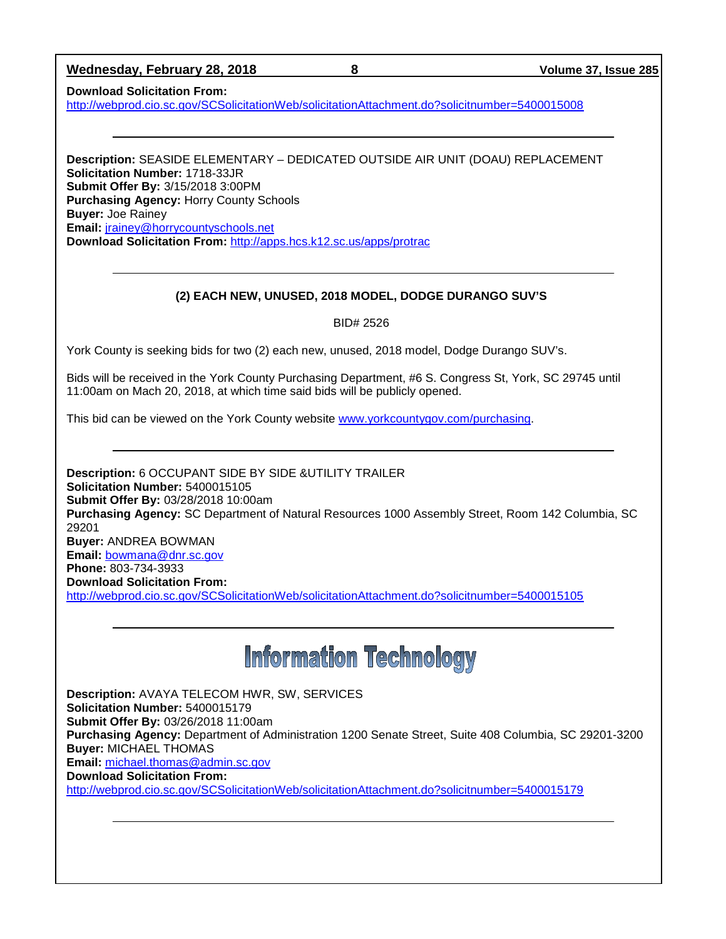| Wednesday, February 28, 2018 |  |
|------------------------------|--|
|                              |  |

**Wednesday, February 28, 2018 8 Volume 37, Issue 285**

**Download Solicitation From:** 

<http://webprod.cio.sc.gov/SCSolicitationWeb/solicitationAttachment.do?solicitnumber=5400015008>

**Description:** SEASIDE ELEMENTARY – DEDICATED OUTSIDE AIR UNIT (DOAU) REPLACEMENT **Solicitation Number:** 1718-33JR **Submit Offer By:** 3/15/2018 3:00PM **Purchasing Agency:** Horry County Schools **Buyer:** Joe Rainey **Email:** [jrainey@horrycountyschools.net](mailto:jrainey@horrycountyschools.net) **Download Solicitation From:** <http://apps.hcs.k12.sc.us/apps/protrac>

## **(2) EACH NEW, UNUSED, 2018 MODEL, DODGE DURANGO SUV'S**

BID# 2526

York County is seeking bids for two (2) each new, unused, 2018 model, Dodge Durango SUV's.

Bids will be received in the York County Purchasing Department, #6 S. Congress St, York, SC 29745 until 11:00am on Mach 20, 2018, at which time said bids will be publicly opened.

This bid can be viewed on the York County website [www.yorkcountygov.com/purchasing.](http://www.yorkcountygov.com/purchasing)

**Description:** 6 OCCUPANT SIDE BY SIDE &UTILITY TRAILER **Solicitation Number:** 5400015105 **Submit Offer By:** 03/28/2018 10:00am **Purchasing Agency:** SC Department of Natural Resources 1000 Assembly Street, Room 142 Columbia, SC 29201 **Buyer:** ANDREA BOWMAN **Email:** [bowmana@dnr.sc.gov](mailto:bowmana@dnr.sc.gov) **Phone:** 803-734-3933 **Download Solicitation From:**  <http://webprod.cio.sc.gov/SCSolicitationWeb/solicitationAttachment.do?solicitnumber=5400015105>

# **Information Technology**

**Description:** AVAYA TELECOM HWR, SW, SERVICES **Solicitation Number:** 5400015179 **Submit Offer By:** 03/26/2018 11:00am **Purchasing Agency:** Department of Administration 1200 Senate Street, Suite 408 Columbia, SC 29201-3200 **Buyer:** MICHAEL THOMAS **Email:** [michael.thomas@admin.sc.gov](mailto:michael.thomas@admin.sc.gov) **Download Solicitation From:**  <http://webprod.cio.sc.gov/SCSolicitationWeb/solicitationAttachment.do?solicitnumber=5400015179>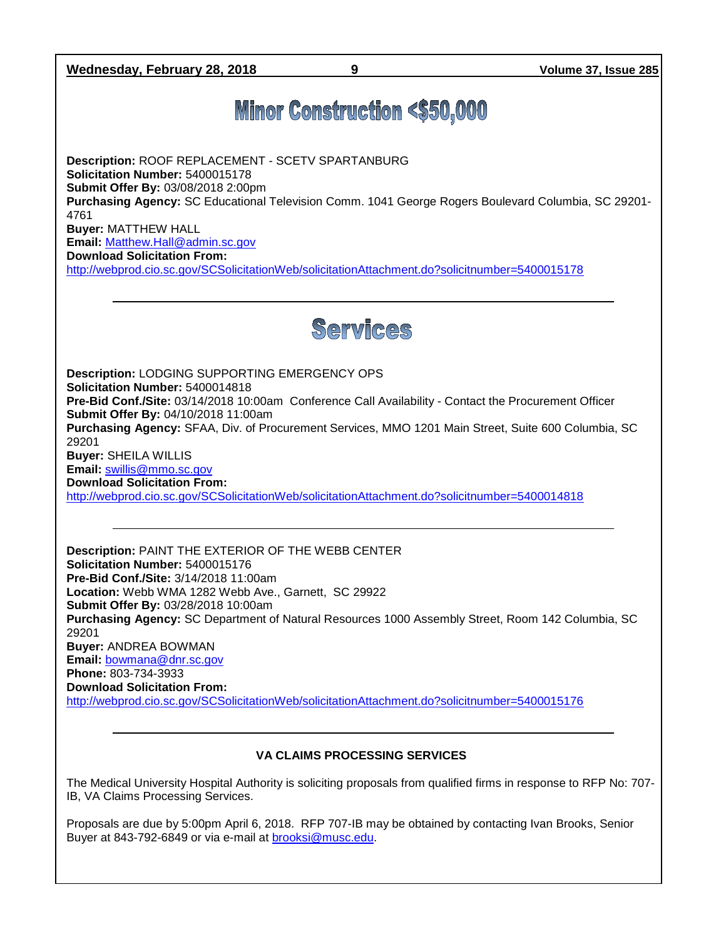**Wednesday, February 28, 2018 9 Volume 37, Issue 285**

## **Minor Construction <\$50,000**

**Description:** ROOF REPLACEMENT - SCETV SPARTANBURG **Solicitation Number:** 5400015178 **Submit Offer By:** 03/08/2018 2:00pm **Purchasing Agency:** SC Educational Television Comm. 1041 George Rogers Boulevard Columbia, SC 29201- 4761 **Buyer:** MATTHEW HALL **Email:** [Matthew.Hall@admin.sc.gov](mailto:Matthew.Hall@admin.sc.gov) **Download Solicitation From:** 

<http://webprod.cio.sc.gov/SCSolicitationWeb/solicitationAttachment.do?solicitnumber=5400015178>



**Description:** LODGING SUPPORTING EMERGENCY OPS **Solicitation Number:** 5400014818 **Pre-Bid Conf./Site:** 03/14/2018 10:00am Conference Call Availability - Contact the Procurement Officer **Submit Offer By:** 04/10/2018 11:00am **Purchasing Agency:** SFAA, Div. of Procurement Services, MMO 1201 Main Street, Suite 600 Columbia, SC 29201 **Buyer:** SHEILA WILLIS **Email:** [swillis@mmo.sc.gov](mailto:swillis@mmo.sc.gov) **Download Solicitation From:**  <http://webprod.cio.sc.gov/SCSolicitationWeb/solicitationAttachment.do?solicitnumber=5400014818>

**Description:** PAINT THE EXTERIOR OF THE WEBB CENTER **Solicitation Number:** 5400015176 **Pre-Bid Conf./Site:** 3/14/2018 11:00am **Location:** Webb WMA 1282 Webb Ave., Garnett, SC 29922 **Submit Offer By:** 03/28/2018 10:00am **Purchasing Agency:** SC Department of Natural Resources 1000 Assembly Street, Room 142 Columbia, SC 29201 **Buyer:** ANDREA BOWMAN **Email:** [bowmana@dnr.sc.gov](mailto:bowmana@dnr.sc.gov) **Phone:** 803-734-3933 **Download Solicitation From:**  <http://webprod.cio.sc.gov/SCSolicitationWeb/solicitationAttachment.do?solicitnumber=5400015176>

## **VA CLAIMS PROCESSING SERVICES**

The Medical University Hospital Authority is soliciting proposals from qualified firms in response to RFP No: 707- IB, VA Claims Processing Services.

Proposals are due by 5:00pm April 6, 2018. RFP 707-IB may be obtained by contacting Ivan Brooks, Senior Buyer at 843-792-6849 or via e-mail at [brooksi@musc.edu.](mailto:brooksi@musc.edu)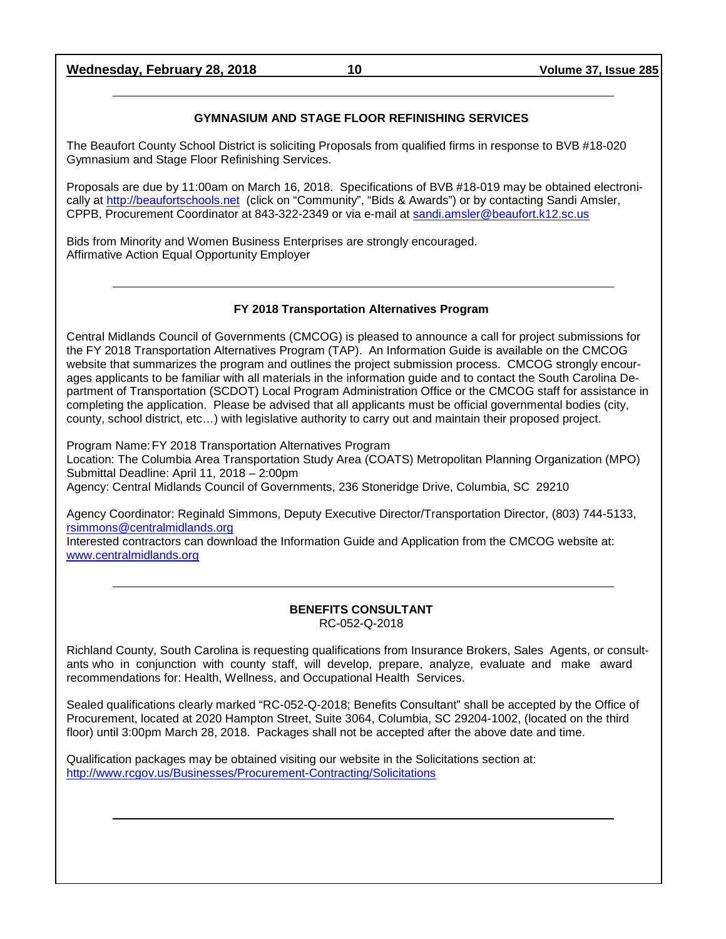**Wednesday, February 28, 2018 10 Volume 37, Issue 285**

## **GYMNASIUM AND STAGE FLOOR REFINISHING SERVICES**

The Beaufort County School District is soliciting Proposals from qualified firms in response to BVB #18-020 Gymnasium and Stage Floor Refinishing Services.

Proposals are due by 11:00am on March 16, 2018. Specifications of BVB #18-019 may be obtained electronically at [http://beaufortschools.net](http://beaufortschools.net/) (click on "Community", "Bids & Awards") or by contacting Sandi Amsler, CPPB, Procurement Coordinator at 843-322-2349 or via e-mail at [sandi.amsler@beaufort.k12.sc.us](mailto:sandi.amsler@beaufort.k12.sc.us)

Bids from Minority and Women Business Enterprises are strongly encouraged. Affirmative Action Equal Opportunity Employer

## **FY 2018 Transportation Alternatives Program**

Central Midlands Council of Governments (CMCOG) is pleased to announce a call for project submissions for the FY 2018 Transportation Alternatives Program (TAP). An Information Guide is available on the CMCOG website that summarizes the program and outlines the project submission process. CMCOG strongly encourages applicants to be familiar with all materials in the information guide and to contact the South Carolina Department of Transportation (SCDOT) Local Program Administration Office or the CMCOG staff for assistance in completing the application. Please be advised that all applicants must be official governmental bodies (city, county, school district, etc…) with legislative authority to carry out and maintain their proposed project.

Program Name:FY 2018 Transportation Alternatives Program Location: The Columbia Area Transportation Study Area (COATS) Metropolitan Planning Organization (MPO) Submittal Deadline: April 11, 2018 – 2:00pm Agency: Central Midlands Council of Governments, 236 Stoneridge Drive, Columbia, SC 29210

Agency Coordinator: Reginald Simmons, Deputy Executive Director/Transportation Director, (803) 744-5133, [rsimmons@centralmidlands.org](mailto:rsimmons@centralmidlands.org)

Interested contractors can download the Information Guide and Application from the CMCOG website at: [www.centralmidlands.org](http://www.centralmidlands.org/)

#### **BENEFITS CONSULTANT** RC-052-Q-2018

Richland County, South Carolina is requesting qualifications from Insurance Brokers, Sales Agents, or consultants who in conjunction with county staff, will develop, prepare, analyze, evaluate and make award recommendations for: Health, Wellness, and Occupational Health Services.

Sealed qualifications clearly marked "RC-052-Q-2018; Benefits Consultant" shall be accepted by the Office of Procurement, located at 2020 Hampton Street, Suite 3064, Columbia, SC 29204-1002, (located on the third floor) until 3:00pm March 28, 2018. Packages shall not be accepted after the above date and time.

Qualification packages may be obtained visiting our website in the Solicitations section at: <http://www.rcgov.us/Businesses/Procurement-Contracting/Solicitations>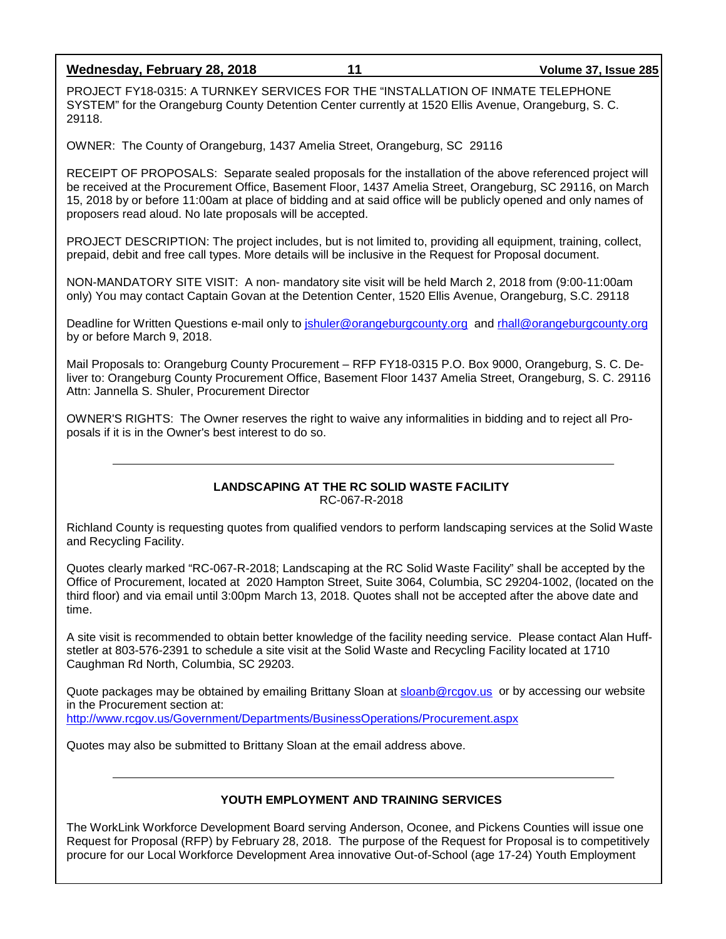**Wednesday, February 28, 2018 11 Volume 37, Issue 285**

PROJECT FY18-0315: A TURNKEY SERVICES FOR THE "INSTALLATION OF INMATE TELEPHONE SYSTEM" for the Orangeburg County Detention Center currently at 1520 Ellis Avenue, Orangeburg, S. C. 29118.

OWNER: The County of Orangeburg, 1437 Amelia Street, Orangeburg, SC 29116

RECEIPT OF PROPOSALS: Separate sealed proposals for the installation of the above referenced project will be received at the Procurement Office, Basement Floor, 1437 Amelia Street, Orangeburg, SC 29116, on March 15, 2018 by or before 11:00am at place of bidding and at said office will be publicly opened and only names of proposers read aloud. No late proposals will be accepted.

PROJECT DESCRIPTION: The project includes, but is not limited to, providing all equipment, training, collect, prepaid, debit and free call types. More details will be inclusive in the Request for Proposal document.

NON-MANDATORY SITE VISIT: A non- mandatory site visit will be held March 2, 2018 from (9:00-11:00am only) You may contact Captain Govan at the Detention Center, 1520 Ellis Avenue, Orangeburg, S.C. 29118

Deadline for Written Questions e-mail only to [jshuler@orangeburgcounty.org](mailto:jshuler@orangeburgcounty.org) and rhall@orangeburgcounty.org by or before March 9, 2018.

Mail Proposals to: Orangeburg County Procurement – RFP FY18-0315 P.O. Box 9000, Orangeburg, S. C. Deliver to: Orangeburg County Procurement Office, Basement Floor 1437 Amelia Street, Orangeburg, S. C. 29116 Attn: Jannella S. Shuler, Procurement Director

OWNER'S RIGHTS: The Owner reserves the right to waive any informalities in bidding and to reject all Proposals if it is in the Owner's best interest to do so.

#### **LANDSCAPING AT THE RC SOLID WASTE FACILITY** RC-067-R-2018

Richland County is requesting quotes from qualified vendors to perform landscaping services at the Solid Waste and Recycling Facility.

Quotes clearly marked "RC-067-R-2018; Landscaping at the RC Solid Waste Facility" shall be accepted by the Office of Procurement, located at 2020 Hampton Street, Suite 3064, Columbia, SC 29204-1002, (located on the third floor) and via email until 3:00pm March 13, 2018. Quotes shall not be accepted after the above date and time.

A site visit is recommended to obtain better knowledge of the facility needing service. Please contact Alan Huffstetler at 803-576-2391 to schedule a site visit at the Solid Waste and Recycling Facility located at 1710 Caughman Rd North, Columbia, SC 29203.

Quote packages may be obtained by emailing Brittany Sloan at [sloanb@rcgov.us](mailto:sloanb@rcgov.us) or by accessing our website in the Procurement section at: <http://www.rcgov.us/Government/Departments/BusinessOperations/Procurement.aspx>

Quotes may also be submitted to Brittany Sloan at the email address above.

## **YOUTH EMPLOYMENT AND TRAINING SERVICES**

The WorkLink Workforce Development Board serving Anderson, Oconee, and Pickens Counties will issue one Request for Proposal (RFP) by February 28, 2018. The purpose of the Request for Proposal is to competitively procure for our Local Workforce Development Area innovative Out-of-School (age 17-24) Youth Employment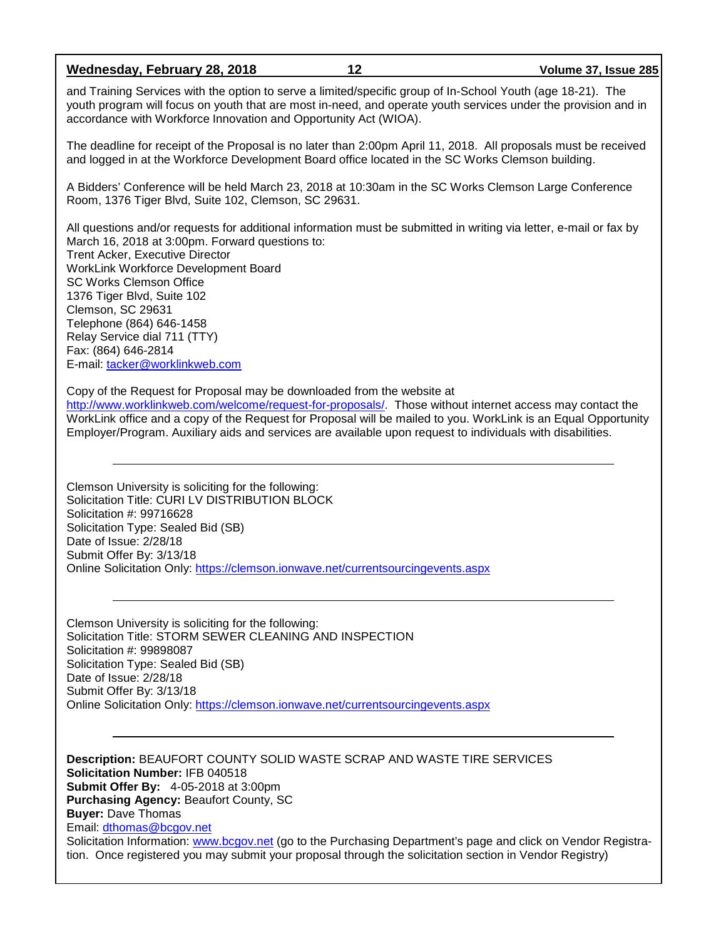**Wednesday, February 28, 2018 12 Volume 37, Issue 285**

and Training Services with the option to serve a limited/specific group of In-School Youth (age 18-21). The youth program will focus on youth that are most in-need, and operate youth services under the provision and in accordance with Workforce Innovation and Opportunity Act (WIOA).

The deadline for receipt of the Proposal is no later than 2:00pm April 11, 2018. All proposals must be received and logged in at the Workforce Development Board office located in the SC Works Clemson building.

A Bidders' Conference will be held March 23, 2018 at 10:30am in the SC Works Clemson Large Conference Room, 1376 Tiger Blvd, Suite 102, Clemson, SC 29631.

All questions and/or requests for additional information must be submitted in writing via letter, e-mail or fax by March 16, 2018 at 3:00pm. Forward questions to: Trent Acker, Executive Director WorkLink Workforce Development Board SC Works Clemson Office 1376 Tiger Blvd, Suite 102 Clemson, SC 29631 Telephone (864) 646-1458 Relay Service dial 711 (TTY) Fax: (864) 646-2814 E-mail: [tacker@worklinkweb.com](mailto:tacker@worklinkweb.com)

Copy of the Request for Proposal may be downloaded from the website at

[http://www.worklinkweb.com/welcome/request-for-proposals/.](http://www.worklinkweb.com/welcome/request-for-proposals/) Those without internet access may contact the WorkLink office and a copy of the Request for Proposal will be mailed to you. WorkLink is an Equal Opportunity Employer/Program. Auxiliary aids and services are available upon request to individuals with disabilities.

Clemson University is soliciting for the following: Solicitation Title: CURI LV DISTRIBUTION BLOCK Solicitation #: 99716628 Solicitation Type: Sealed Bid (SB) Date of Issue: 2/28/18 Submit Offer By: 3/13/18 Online Solicitation Only:<https://clemson.ionwave.net/currentsourcingevents.aspx>

Clemson University is soliciting for the following: Solicitation Title: STORM SEWER CLEANING AND INSPECTION Solicitation #: 99898087 Solicitation Type: Sealed Bid (SB) Date of Issue: 2/28/18 Submit Offer By: 3/13/18 Online Solicitation Only:<https://clemson.ionwave.net/currentsourcingevents.aspx>

**Description:** BEAUFORT COUNTY SOLID WASTE SCRAP AND WASTE TIRE SERVICES **Solicitation Number:** IFB 040518 **Submit Offer By:** 4-05-2018 at 3:00pm **Purchasing Agency:** Beaufort County, SC **Buyer:** Dave Thomas Email: [dthomas@bcgov.net](mailto:dthomas@bcgov.net) Solicitation Information: [www.bcgov.net](http://www.bcgov.net/) (go to the Purchasing Department's page and click on Vendor Registration. Once registered you may submit your proposal through the solicitation section in Vendor Registry)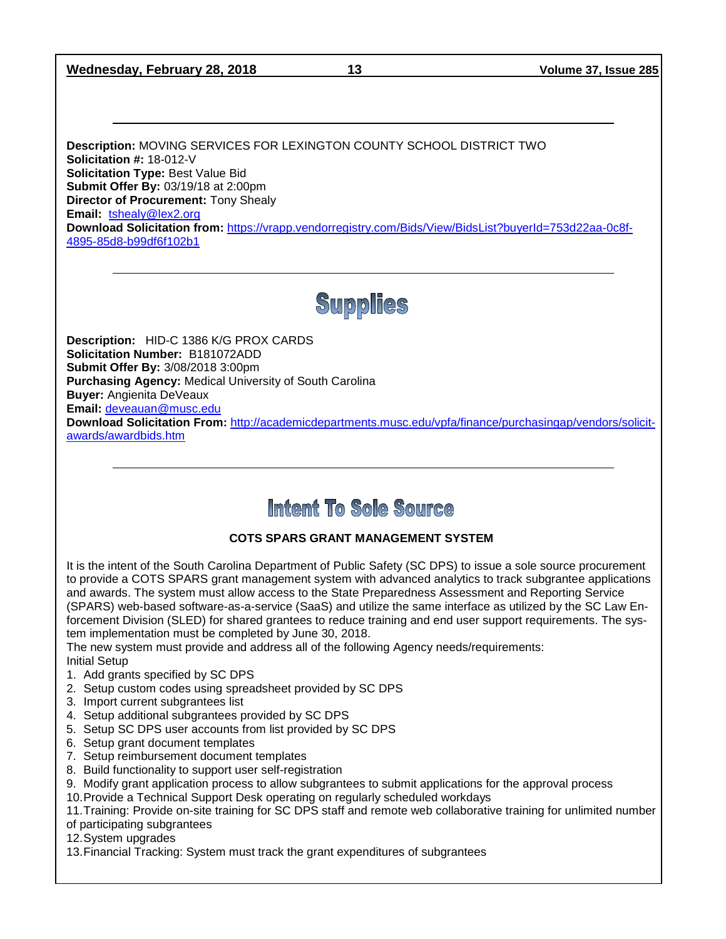## **Wednesday, February 28, 2018 13 Volume 37, Issue 285**

**Description:** MOVING SERVICES FOR LEXINGTON COUNTY SCHOOL DISTRICT TWO **Solicitation #:** 18-012-V **Solicitation Type:** Best Value Bid **Submit Offer By:** 03/19/18 at 2:00pm **Director of Procurement:** Tony Shealy **Email:** [tshealy@lex2.org](mailto:tshealy@lex2.org) **Download Solicitation from:** [https://vrapp.vendorregistry.com/Bids/View/BidsList?buyerId=753d22aa-0c8f-](https://vrapp.vendorregistry.com/Bids/View/BidsList?buyerId=753d22aa-0c8f-4895-85d8-b99df6f102b1)[4895-85d8-b99df6f102b1](https://vrapp.vendorregistry.com/Bids/View/BidsList?buyerId=753d22aa-0c8f-4895-85d8-b99df6f102b1)

# **Supplies**

**Description:** HID-C 1386 K/G PROX CARDS **Solicitation Number:** B181072ADD **Submit Offer By:** 3/08/2018 3:00pm **Purchasing Agency:** Medical University of South Carolina **Buyer:** Angienita DeVeaux **Email:** [deveauan@musc.edu](mailto:deveauan@musc.edu)

**Download Solicitation From:** [http://academicdepartments.musc.edu/vpfa/finance/purchasingap/vendors/solicit](http://academicdepartments.musc.edu/vpfa/finance/purchasingap/vendors/solicit-awards/awardbids.htm)[awards/awardbids.htm](http://academicdepartments.musc.edu/vpfa/finance/purchasingap/vendors/solicit-awards/awardbids.htm)

## Intent To Sole Source

## **COTS SPARS GRANT MANAGEMENT SYSTEM**

It is the intent of the South Carolina Department of Public Safety (SC DPS) to issue a sole source procurement to provide a COTS SPARS grant management system with advanced analytics to track subgrantee applications and awards. The system must allow access to the State Preparedness Assessment and Reporting Service (SPARS) web-based software-as-a-service (SaaS) and utilize the same interface as utilized by the SC Law Enforcement Division (SLED) for shared grantees to reduce training and end user support requirements. The system implementation must be completed by June 30, 2018.

The new system must provide and address all of the following Agency needs/requirements: Initial Setup

- 1. Add grants specified by SC DPS
- 2. Setup custom codes using spreadsheet provided by SC DPS
- 3. Import current subgrantees list
- 4. Setup additional subgrantees provided by SC DPS
- 5. Setup SC DPS user accounts from list provided by SC DPS
- 6. Setup grant document templates
- 7. Setup reimbursement document templates
- 8. Build functionality to support user self-registration
- 9. Modify grant application process to allow subgrantees to submit applications for the approval process
- 10.Provide a Technical Support Desk operating on regularly scheduled workdays

11.Training: Provide on-site training for SC DPS staff and remote web collaborative training for unlimited number of participating subgrantees

12.System upgrades

13.Financial Tracking: System must track the grant expenditures of subgrantees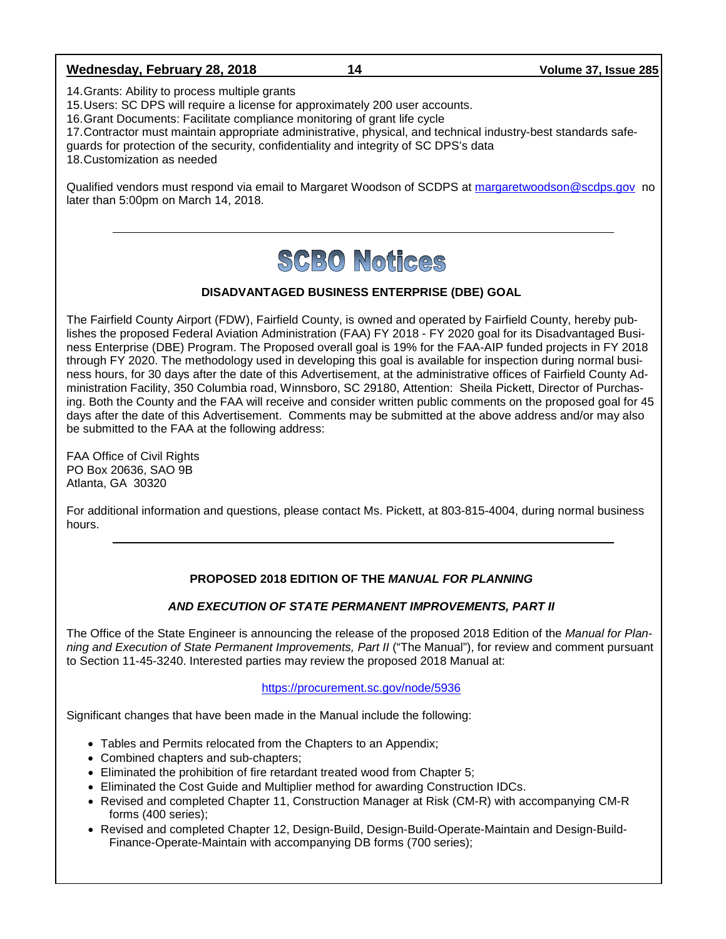## **Wednesday, February 28, 2018 14 Volume 37, Issue 285**

14.Grants: Ability to process multiple grants

15.Users: SC DPS will require a license for approximately 200 user accounts.

16.Grant Documents: Facilitate compliance monitoring of grant life cycle

17.Contractor must maintain appropriate administrative, physical, and technical industry-best standards safe-

guards for protection of the security, confidentiality and integrity of SC DPS's data

18.Customization as needed

Qualified vendors must respond via email to Margaret Woodson of SCDPS at [margaretwoodson@scdps.gov](mailto:margaretwoodson@scdps.gov) no later than 5:00pm on March 14, 2018.

# **SCBO Notices**

## **DISADVANTAGED BUSINESS ENTERPRISE (DBE) GOAL**

The Fairfield County Airport (FDW), Fairfield County, is owned and operated by Fairfield County, hereby publishes the proposed Federal Aviation Administration (FAA) FY 2018 - FY 2020 goal for its Disadvantaged Business Enterprise (DBE) Program. The Proposed overall goal is 19% for the FAA-AIP funded projects in FY 2018 through FY 2020. The methodology used in developing this goal is available for inspection during normal business hours, for 30 days after the date of this Advertisement, at the administrative offices of Fairfield County Administration Facility, 350 Columbia road, Winnsboro, SC 29180, Attention: Sheila Pickett, Director of Purchasing. Both the County and the FAA will receive and consider written public comments on the proposed goal for 45 days after the date of this Advertisement. Comments may be submitted at the above address and/or may also be submitted to the FAA at the following address:

FAA Office of Civil Rights PO Box 20636, SAO 9B Atlanta, GA 30320

For additional information and questions, please contact Ms. Pickett, at 803-815-4004, during normal business hours.

## **PROPOSED 2018 EDITION OF THE** *MANUAL FOR PLANNING*

## *AND EXECUTION OF STATE PERMANENT IMPROVEMENTS, PART II*

The Office of the State Engineer is announcing the release of the proposed 2018 Edition of the *Manual for Planning and Execution of State Permanent Improvements, Part II* ("The Manual"), for review and comment pursuant to Section 11-45-3240. Interested parties may review the proposed 2018 Manual at:

#### <https://procurement.sc.gov/node/5936>

Significant changes that have been made in the Manual include the following:

- Tables and Permits relocated from the Chapters to an Appendix;
- Combined chapters and sub-chapters;
- Eliminated the prohibition of fire retardant treated wood from Chapter 5;
- Eliminated the Cost Guide and Multiplier method for awarding Construction IDCs.
- Revised and completed Chapter 11, Construction Manager at Risk (CM-R) with accompanying CM-R forms (400 series);
- Revised and completed Chapter 12, Design-Build, Design-Build-Operate-Maintain and Design-Build-Finance-Operate-Maintain with accompanying DB forms (700 series);